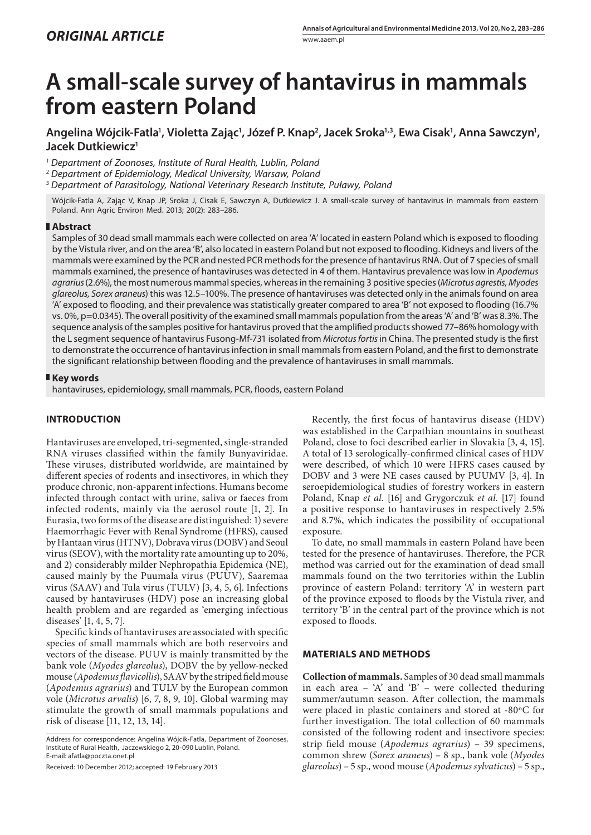# **A small-scale survey of hantavirus in mammals from eastern Poland**

Angelina Wójcik-Fatla', Violetta Zając', Józef P. Knap<sup>2</sup>, Jacek Sroka'<sup>, z</sup>, Ewa Cisak', Anna Sawczyn', **Jacek Dutkiewicz1**

<sup>1</sup> *Department of Zoonoses, Institute of Rural Health, Lublin, Poland*

<sup>2</sup> *Department of Epidemiology, Medical University, Warsaw, Poland*

<sup>3</sup> *Department of Parasitology, National Veterinary Research Institute, Puławy, Poland*

Wójcik-Fatla A, Zając V, Knap JP, Sroka J, Cisak E, Sawczyn A, Dutkiewicz J. A small-scale survey of hantavirus in mammals from eastern Poland. Ann Agric Environ Med. 2013; 20(2): 283–286.

#### **Abstract**

Samples of 30 dead small mammals each were collected on area 'A' located in eastern Poland which is exposed to flooding by the Vistula river, and on the area 'B', also located in eastern Poland but not exposed to flooding. Kidneys and livers of the mammals were examined by the PCR and nested PCR methods for the presence of hantavirus RNA. Out of 7 species of small mammals examined, the presence of hantaviruses was detected in 4 of them. Hantavirus prevalence was low in *Apodemus agrarius* (2.6%), the most numerous mammal species, whereas in the remaining 3 positive species (*Microtus agrestis, Myodes glareolus, Sorex araneus*) this was 12.5–100%. The presence of hantaviruses was detected only in the animals found on area 'A' exposed to flooding, and their prevalence was statistically greater compared to area 'B' not exposed to flooding (16.7% vs. 0%, p=0.0345). The overall positivity of the examined small mammals population from the areas 'A' and 'B' was 8.3%. The sequence analysis of the samples positive for hantavirus proved that the amplified products showed 77–86% homology with the L segment sequence of hantavirus Fusong-Mf-731 isolated from *Microtus fortis* in China. The presented study is the first to demonstrate the occurrence of hantavirus infection in small mammals from eastern Poland, and the first to demonstrate the significant relationship between flooding and the prevalence of hantaviruses in small mammals.

## **Key words**

hantaviruses, epidemiology, small mammals, PCR, floods, eastern Poland

## **INTRODUCTION**

Hantaviruses are enveloped, tri-segmented, single-stranded RNA viruses classified within the family Bunyaviridae. These viruses, distributed worldwide, are maintained by different species of rodents and insectivores, in which they produce chronic, non-apparent infections. Humans become infected through contact with urine, saliva or faeces from infected rodents, mainly via the aerosol route [1, 2]. In Eurasia, two forms of the disease are distinguished: 1) severe Haemorrhagic Fever with Renal Syndrome (HFRS), caused by Hantaan virus (HTNV), Dobrava virus (DOBV) and Seoul virus (SEOV), with the mortality rate amounting up to 20%, and 2) considerably milder Nephropathia Epidemica (NE), caused mainly by the Puumala virus (PUUV), Saaremaa virus (SAAV) and Tula virus (TULV) [3, 4, 5, 6]. Infections caused by hantaviruses (HDV) pose an increasing global health problem and are regarded as 'emerging infectious diseases' [1, 4, 5, 7].

Specific kinds of hantaviruses are associated with specific species of small mammals which are both reservoirs and vectors of the disease. PUUV is mainly transmitted by the bank vole (*Myodes glareolus*), DOBV the by yellow-necked mouse (*Apodemus flavicollis*), SAAV by the striped field mouse (*Apodemus agrarius*) and TULV by the European common vole (*Microtus arvalis*) [6, 7, 8, 9, 10]. Global warming may stimulate the growth of small mammals populations and risk of disease [11, 12, 13, 14].

Address for correspondence: Angelina Wójcik-Fatla, Department of Zoonoses, Institute of Rural Health, Jaczewskiego 2, 20-090 Lublin, Poland. E-mail: afatla@poczta.onet.pl

Received: 10 December 2012; accepted: 19 February 2013

Recently, the first focus of hantavirus disease (HDV) was established in the Carpathian mountains in southeast Poland, close to foci described earlier in Slovakia [3, 4, 15]. A total of 13 serologically-confirmed clinical cases of HDV were described, of which 10 were HFRS cases caused by DOBV and 3 were NE cases caused by PUUMV [3, 4]. In seroepidemiological studies of forestry workers in eastern Poland, Knap *et al.* [16] and Grygorczuk *et al.* [17] found a positive response to hantaviruses in respectively 2.5% and 8.7%, which indicates the possibility of occupational exposure.

To date, no small mammals in eastern Poland have been tested for the presence of hantaviruses. Therefore, the PCR method was carried out for the examination of dead small mammals found on the two territories within the Lublin province of eastern Poland: territory 'A' in western part of the province exposed to floods by the Vistula river, and territory 'B' in the central part of the province which is not exposed to floods.

### **MATERIALS AND METHODS**

**Collection of mammals.** Samples of 30 dead small mammals in each area – 'A' and 'B' – were collected theduring summer/autumn season. After collection, the mammals were placed in plastic containers and stored at -80ºC for further investigation. The total collection of 60 mammals consisted of the following rodent and insectivore species: strip field mouse (*Apodemus agrarius*) – 39 specimens, common shrew (*Sorex araneus*) *–* 8 sp., bank vole (*Myodes glareolus*) – 5 sp., wood mouse (*Apodemus sylvaticus*) – 5 sp.,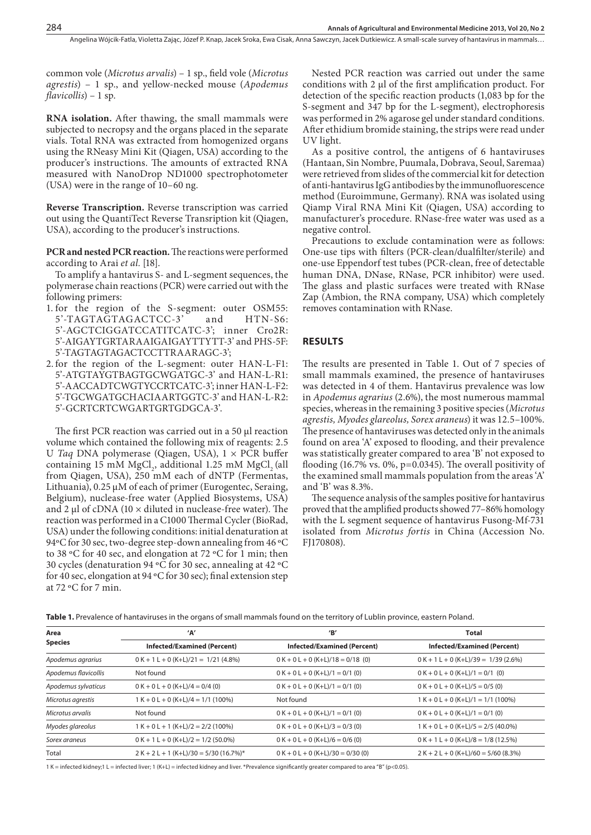common vole (*Microtus arvalis*) – 1 sp., field vole (*Microtus agrestis*) – 1 sp., and yellow-necked mouse (*Apodemus flavicollis*) – 1 sp.

**RNA isolation.** After thawing, the small mammals were subjected to necropsy and the organs placed in the separate vials. Total RNA was extracted from homogenized organs using the RNeasy Mini Kit (Qiagen, USA) according to the producer's instructions. The amounts of extracted RNA measured with NanoDrop ND1000 spectrophotometer (USA) were in the range of 10–60 ng.

**Reverse Transcription.** Reverse transcription was carried out using the QuantiTect Reverse Transription kit (Qiagen, USA), according to the producer's instructions.

**PCR and nested PCR reaction.** The reactions were performed according to Arai *et al.* [18].

To amplify a hantavirus S- and L-segment sequences, the polymerase chain reactions (PCR) were carried out with the following primers:

- 1. for the region of the S-segment: outer OSM55: 5'-TAGTAGTAGACTCC-3' and HTN-S6: 5'-AGCTCIGGATCCATITCATC-3'; inner Cro2R: 5'-AIGAYTGRTARAAIGAIGAYTTYTT-3' and PHS-5F: 5'-TAGTAGTAGACTCCTTRAARAGC-3';
- 2. for the region of the L-segment: outer HAN-L-F1: 5'-ATGTAYGTBAGTGCWGATGC-3' and HAN-L-R1: 5'-AACCADTCWGTYCCRTCATC-3'; inner HAN-L-F2: 5'-TGCWGATGCHACIAARTGGTC-3' and HAN-L-R2: 5'-GCRTCRTCWGARTGRTGDGCA-3'.

The first PCR reaction was carried out in a 50 µl reaction volume which contained the following mix of reagents: 2.5 U *Taq* DNA polymerase (Qiagen, USA), 1 × PCR buffer containing 15 mM  $MgCl<sub>2</sub>$ , additional 1.25 mM  $MgCl<sub>2</sub>$  (all from Qiagen, USA), 250 mM each of dNTP (Fermentas, Lithuania), 0.25 μM of each of primer (Eurogentec, Seraing, Belgium), nuclease-free water (Applied Biosystems, USA) and 2  $\mu$ l of cDNA (10  $\times$  diluted in nuclease-free water). The reaction was performed in a C1000 Thermal Cycler (BioRad, USA) under the following conditions: initial denaturation at 94ºC for 30 sec, two-degree step-down annealing from 46 ºC to 38 ºC for 40 sec, and elongation at 72 ºC for 1 min; then 30 cycles (denaturation 94 ºC for 30 sec, annealing at 42 ºC for 40 sec, elongation at 94 ºC for 30 sec); final extension step at 72 ºC for 7 min.

Nested PCR reaction was carried out under the same conditions with 2 μl of the first amplification product. For detection of the specific reaction products (1,083 bp for the S-segment and 347 bp for the L-segment), electrophoresis was performed in 2% agarose gel under standard conditions. After ethidium bromide staining, the strips were read under UV light.

As a positive control, the antigens of 6 hantaviruses (Hantaan, Sin Nombre, Puumala, Dobrava, Seoul, Saremaa) were retrieved from slides of the commercial kit for detection of anti-hantavirus IgG antibodies by the immunofluorescence method (Euroimmune, Germany). RNA was isolated using Qiamp Viral RNA Mini Kit (Qiagen, USA) according to manufacturer's procedure. RNase-free water was used as a negative control.

Precautions to exclude contamination were as follows: One-use tips with filters (PCR-clean/dualfilter/sterile) and one-use Eppendorf test tubes (PCR-clean, free of detectable human DNA, DNase, RNase, PCR inhibitor) were used. The glass and plastic surfaces were treated with RNase Zap (Ambion, the RNA company, USA) which completely removes contamination with RNase.

#### **RESULTS**

The results are presented in Table 1. Out of 7 species of small mammals examined, the presence of hantaviruses was detected in 4 of them. Hantavirus prevalence was low in *Apodemus agrarius* (2.6%), the most numerous mammal species, whereas in the remaining 3 positive species (*Microtus agrestis, Myodes glareolus, Sorex araneus*) it was 12.5–100%. The presence of hantaviruses was detected only in the animals found on area 'A' exposed to flooding, and their prevalence was statistically greater compared to area 'B' not exposed to flooding (16.7% vs. 0%, p=0.0345). The overall positivity of the examined small mammals population from the areas 'A' and 'B' was 8.3%.

The sequence analysis of the samples positive for hantavirus proved that the amplified products showed 77–86% homology with the L segment sequence of hantavirus Fusong-Mf-731 isolated from *Microtus fortis* in China (Accession No. FJ170808).

| Area<br><b>Species</b> | 'А'<br><b>Infected/Examined (Percent)</b> | $^{\prime}$ B $^{\prime}$<br><b>Infected/Examined (Percent)</b> | <b>Total</b><br><b>Infected/Examined (Percent)</b> |
|------------------------|-------------------------------------------|-----------------------------------------------------------------|----------------------------------------------------|
|                        |                                           |                                                                 |                                                    |
| Apodemus flavicollis   | Not found                                 | $0$ K + 0 L + 0 (K+L)/1 = 0/1 (0)                               | $0$ K + 0 L + 0 (K+L)/1 = 0/1 (0)                  |
| Apodemus sylvaticus    | $0 K + 0 L + 0 (K+L)/4 = 0/4 (0)$         | $0 K + 0 L + 0 (K+L)/1 = 0/1 (0)$                               | $0 K + 0 L + 0 (K+L)/5 = 0/5 (0)$                  |
| Microtus agrestis      | $1 K + 0 L + 0 (K+L)/4 = 1/1 (100\%)$     | Not found                                                       | $1 K + 0 L + 0 (K+L)/1 = 1/1 (100\%)$              |
| Microtus arvalis       | Not found                                 | $0 K + 0 L + 0 (K+L)/1 = 0/1 (0)$                               | $0$ K + 0 L + 0 (K+L)/1 = 0/1 (0)                  |
| Myodes glareolus       | $1 K + 0 L + 1 (K+L)/2 = 2/2 (100\%)$     | $0 K + 0 L + 0 (K+L)/3 = 0/3 (0)$                               | $1 K + 0 L + 0 (K+L)/5 = 2/5 (40.0\%)$             |
| Sorex araneus          | $0 K + 1 L + 0 (K+L)/2 = 1/2 (50.0\%)$    | $0 K + 0 L + 0 (K+L)/6 = 0/6 (0)$                               | $0 K + 1 L + 0 (K+L)/8 = 1/8 (12.5%)$              |
| Total                  | $2 K + 2 L + 1 (K+L)/30 = 5/30 (16.7%)$ * | $0$ K + 0 L + 0 (K+L)/30 = 0/30 (0)                             | $2 K + 2 L + 0 (K+L)/60 = 5/60 (8.3%)$             |

**Table 1.** Prevalence of hantaviruses in the organs of small mammals found on the territory of Lublin province, eastern Poland.

1 K = infected kidney;1 L = infected liver; 1 (K+L) = infected kidney and liver. \*Prevalence significantly greater compared to area "B" (p<0.05).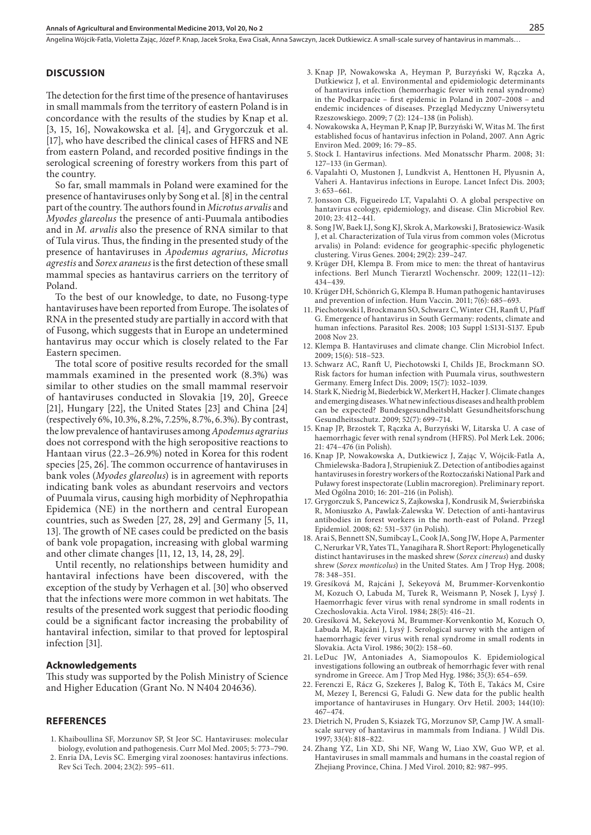Angelina Wójcik-Fatla, Violetta Zając, Józef P. Knap, Jacek Sroka, Ewa Cisak, Anna Sawczyn, Jacek Dutkiewicz . A small-scale survey of hantavirus in mammals…

#### **DISCUSSION**

The detection for the first time of the presence of hantaviruses in small mammals from the territory of eastern Poland is in concordance with the results of the studies by Knap et al. [3, 15, 16], Nowakowska et al. [4], and Grygorczuk et al. [17], who have described the clinical cases of HFRS and NE from eastern Poland, and recorded positive findings in the serological screening of forestry workers from this part of the country.

So far, small mammals in Poland were examined for the presence of hantaviruses only by Song et al. [8] in the central part of the country. The authors found in *Microtus arvalis* and *Myodes glareolus* the presence of anti-Puumala antibodies and in *M. arvalis* also the presence of RNA similar to that of Tula virus. Thus, the finding in the presented study of the presence of hantaviruses in *Apodemus agrarius, Microtus agrestis* and *Sorex araneus* is the first detection of these small mammal species as hantavirus carriers on the territory of Poland.

To the best of our knowledge, to date, no Fusong-type hantaviruses have been reported from Europe. The isolates of RNA in the presented study are partially in accord with that of Fusong, which suggests that in Europe an undetermined hantavirus may occur which is closely related to the Far Eastern specimen.

The total score of positive results recorded for the small mammals examined in the presented work (8.3%) was similar to other studies on the small mammal reservoir of hantaviruses conducted in Slovakia [19, 20], Greece [21], Hungary [22], the United States [23] and China [24] (respectively 6%, 10.3%, 8.2%, 7.25%, 8.7%, 6.3%). By contrast, the low prevalence of hantaviruses among *Apodemus agrarius* does not correspond with the high seropositive reactions to Hantaan virus (22.3–26.9%) noted in Korea for this rodent species [25, 26]. The common occurrence of hantaviruses in bank voles (*Myodes glareolus*) is in agreement with reports indicating bank voles as abundant reservoirs and vectors of Puumala virus, causing high morbidity of Nephropathia Epidemica (NE) in the northern and central European countries, such as Sweden [27, 28, 29] and Germany [5, 11, 13]. The growth of NE cases could be predicted on the basis of bank vole propagation, increasing with global warming and other climate changes [11, 12, 13, 14, 28, 29].

Until recently, no relationships between humidity and hantaviral infections have been discovered, with the exception of the study by Verhagen et al. [30] who observed that the infections were more common in wet habitats. The results of the presented work suggest that periodic flooding could be a significant factor increasing the probability of hantaviral infection, similar to that proved for leptospiral infection [31].

#### **Acknowledgements**

This study was supported by the Polish Ministry of Science and Higher Education (Grant No. N N404 204636).

### **REFERENCES**

- 1. Khaiboullina SF, Morzunov SP, St Jeor SC. Hantaviruses: molecular biology, evolution and pathogenesis. Curr Mol Med. 2005; 5: 773–790.
- 2. Enria DA, Levis SC. Emerging viral zoonoses: hantavirus infections. Rev Sci Tech. 2004; 23(2): 595–611.
- 3. Knap JP, Nowakowska A, Heyman P, Burzyński W, Rączka A, Dutkiewicz J, et al. Environmental and epidemiologic determinants of hantavirus infection (hemorrhagic fever with renal syndrome) in the Podkarpacie – first epidemic in Poland in 2007–2008 – and endemic incidences of diseases. Przegląd Medyczny Uniwersytetu Rzeszowskiego. 2009; 7 (2): 124–138 (in Polish).
- 4. Nowakowska A, Heyman P, Knap JP, Burzyński W, Witas M. The first established focus of hantavirus infection in Poland, 2007. Ann Agric Environ Med. 2009; 16: 79–85.
- 5. Stock I. Hantavirus infections. Med Monatsschr Pharm. 2008; 31: 127–133 (in German).
- 6. Vapalahti O, Mustonen J, Lundkvist A, Henttonen H, Plyusnin A, Vaheri A. Hantavirus infections in Europe. Lancet Infect Dis. 2003; 3: 653–661.
- 7. Jonsson CB, Figueiredo LT, Vapalahti O. A global perspective on hantavirus ecology, epidemiology, and disease. Clin Microbiol Rev. 2010; 23: 412–441.
- 8. Song JW, Baek LJ, Song KJ, Skrok A, Markowski J, Bratosiewicz-Wasik J, et al. Characterization of Tula virus from common voles (Microtus arvalis) in Poland: evidence for geographic-specific phylogenetic clustering. Virus Genes. 2004; 29(2): 239–247.
- 9. Krüger DH, Klempa B. From mice to men: the threat of hantavirus infections. Berl Munch Tierarztl Wochenschr. 2009; 122(11–12): 434–439.
- 10. Krüger DH, Schönrich G, Klempa B. Human pathogenic hantaviruses and prevention of infection. Hum Vaccin. 2011; 7(6): 685–693.
- 11. Piechotowski I, Brockmann SO, Schwarz C, Winter CH, Ranft U, Pfaff G. Emergence of hantavirus in South Germany: rodents, climate and human infections. Parasitol Res. 2008; 103 Suppl 1:S131-S137. Epub 2008 Nov 23.
- 12. Klempa B. Hantaviruses and climate change. Clin Microbiol Infect. 2009; 15(6): 518–523.
- 13. Schwarz AC, Ranft U, Piechotowski I, Childs JE, Brockmann SO. Risk factors for human infection with Puumala virus, southwestern Germany. Emerg Infect Dis. 2009; 15(7): 1032–1039.
- 14. Stark K, Niedrig M, Biederbick W, Merkert H, Hacker J. Climate changes and emerging diseases. What new infectious diseases and health problem can be expected? Bundesgesundheitsblatt Gesundheitsforschung Gesundheitsschutz. 2009; 52(7): 699–714.
- 15. Knap JP, Brzostek T, Rączka A, Burzyński W, Litarska U. A case of haemorrhagic fever with renal syndrom (HFRS). Pol Merk Lek. 2006; 21: 474–476 (in Polish).
- 16. Knap JP, Nowakowska A, Dutkiewicz J, Zając V, Wójcik-Fatla A, Chmielewska-Badora J, Strupieniuk Z. Detection of antibodies against hantaviruses in forestry workers of the Roztoczański National Park and Puławy forest inspectorate (Lublin macroregion). Preliminary report. Med Ogólna 2010; 16: 201–216 (in Polish).
- 17. Grygorczuk S, Pancewicz S, Zajkowska J, Kondrusik M, Świerzbińska R, Moniuszko A, Pawlak-Zalewska W. Detection of anti-hantavirus antibodies in forest workers in the north-east of Poland. Przegl Epidemiol. 2008; 62: 531–537 (in Polish).
- 18. Arai S, Bennett SN, Sumibcay L, Cook JA, Song JW, Hope A, Parmenter C, Nerurkar VR, Yates TL, Yanagihara R. Short Report: Phylogenetically distinct hantaviruses in the masked shrew (*Sorex cinereus*) and dusky shrew (*Sorex monticolus*) in the United States. Am J Trop Hyg. 2008; 78: 348–351.
- 19. Gresíková M, Rajcáni J, Sekeyová M, Brummer-Korvenkontio M, Kozuch O, Labuda M, Turek R, Weismann P, Nosek J, Lysý J. Haemorrhagic fever virus with renal syndrome in small rodents in Czechoslovakia. Acta Virol. 1984; 28(5): 416–21.
- 20. Gresíková M, Sekeyová M, Brummer-Korvenkontio M, Kozuch O, Labuda M, Rajcáni J, Lysý J. Serological survey with the antigen of haemorrhagic fever virus with renal syndrome in small rodents in Slovakia. Acta Virol. 1986; 30(2): 158–60.
- 21. LeDuc JW, Antoniades A, Siamopoulos K. Epidemiological investigations following an outbreak of hemorrhagic fever with renal syndrome in Greece. Am J Trop Med Hyg. 1986; 35(3): 654–659.
- 22. Ferenczi E, Rácz G, Szekeres J, Balog K, Tóth E, Takács M, Csire M, Mezey I, Berencsi G, Faludi G. New data for the public health importance of hantaviruses in Hungary. Orv Hetil. 2003; 144(10): 467–474.
- 23. Dietrich N, Pruden S, Ksiazek TG, Morzunov SP, Camp JW. A smallscale survey of hantavirus in mammals from Indiana. J Wildl Dis. 1997; 33(4): 818–822.
- 24. Zhang YZ, Lin XD, Shi NF, Wang W, Liao XW, Guo WP, et al. Hantaviruses in small mammals and humans in the coastal region of Zhejiang Province, China. J Med Virol. 2010; 82: 987–995.